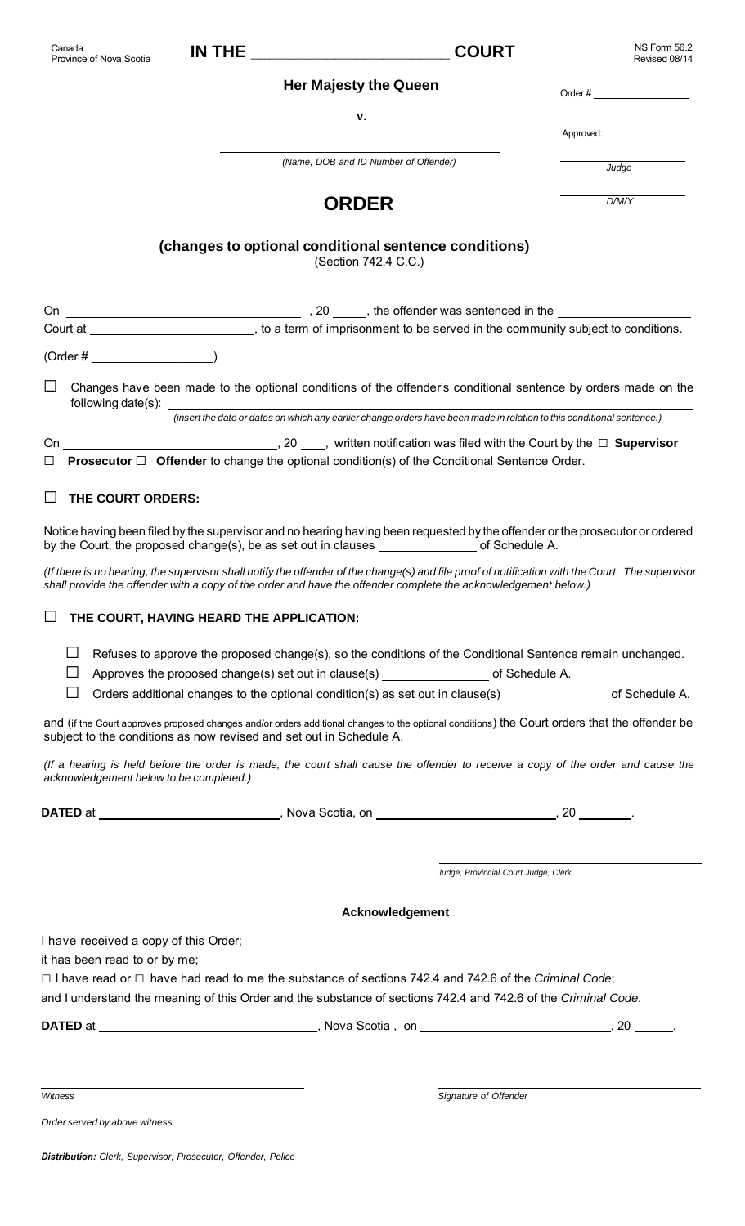| Canada<br>Province of Nova Scotia       | <b>IN THE _____________________________</b>                         | <b>COURT</b>                                                                                                                                                                                                                                                                                                                                           | NS Form 56.2<br>Revised 08/14 |
|-----------------------------------------|---------------------------------------------------------------------|--------------------------------------------------------------------------------------------------------------------------------------------------------------------------------------------------------------------------------------------------------------------------------------------------------------------------------------------------------|-------------------------------|
|                                         |                                                                     | <b>Her Majesty the Queen</b>                                                                                                                                                                                                                                                                                                                           | Order $#$                     |
|                                         |                                                                     | v.                                                                                                                                                                                                                                                                                                                                                     |                               |
|                                         |                                                                     |                                                                                                                                                                                                                                                                                                                                                        | Approved:                     |
|                                         |                                                                     | (Name, DOB and ID Number of Offender)                                                                                                                                                                                                                                                                                                                  | Judge                         |
|                                         |                                                                     | <b>ORDER</b>                                                                                                                                                                                                                                                                                                                                           | D/M/Y                         |
|                                         | (changes to optional conditional sentence conditions)               | (Section 742.4 C.C.)                                                                                                                                                                                                                                                                                                                                   |                               |
|                                         |                                                                     |                                                                                                                                                                                                                                                                                                                                                        |                               |
|                                         |                                                                     | Court at _____________________________, to a term of imprisonment to be served in the community subject to conditions.                                                                                                                                                                                                                                 |                               |
| $(Order # \_ )$                         |                                                                     |                                                                                                                                                                                                                                                                                                                                                        |                               |
| ⊔                                       |                                                                     | Changes have been made to the optional conditions of the offender's conditional sentence by orders made on the<br>following date(s): <u>contract the contract of the contract of the contract of the contract of the contract of the contract of the contract of the contract of the contract of the contract of the contract of the contract of t</u> |                               |
|                                         |                                                                     | (insert the date or dates on which any earlier change orders have been made in relation to this conditional sentence.)                                                                                                                                                                                                                                 |                               |
|                                         |                                                                     | <b>Prosecutor</b> $\Box$ <b>Offender</b> to change the optional condition(s) of the Conditional Sentence Order.                                                                                                                                                                                                                                        |                               |
| THE COURT ORDERS:<br>U                  |                                                                     |                                                                                                                                                                                                                                                                                                                                                        |                               |
|                                         |                                                                     |                                                                                                                                                                                                                                                                                                                                                        |                               |
|                                         |                                                                     | Notice having been filed by the supervisor and no hearing having been requested by the offender or the prosecutor or ordered<br>by the Court, the proposed change(s), be as set out in clauses ___________________ of Schedule A.                                                                                                                      |                               |
|                                         |                                                                     | (If there is no hearing, the supervisor shall notify the offender of the change(s) and file proof of notification with the Court. The supervisor<br>shall provide the offender with a copy of the order and have the offender complete the acknowledgement below.)                                                                                     |                               |
| $\Box$                                  | THE COURT, HAVING HEARD THE APPLICATION:                            |                                                                                                                                                                                                                                                                                                                                                        |                               |
| $\Box$<br>$\mathbf{L}$                  |                                                                     | Refuses to approve the proposed change(s), so the conditions of the Conditional Sentence remain unchanged.                                                                                                                                                                                                                                             |                               |
| $\mathsf{L}$                            |                                                                     | Orders additional changes to the optional condition(s) as set out in clause(s) ________________ of Schedule A.                                                                                                                                                                                                                                         |                               |
|                                         | subject to the conditions as now revised and set out in Schedule A. | and (if the Court approves proposed changes and/or orders additional changes to the optional conditions) the Court orders that the offender be                                                                                                                                                                                                         |                               |
| acknowledgement below to be completed.) |                                                                     | (If a hearing is held before the order is made, the court shall cause the offender to receive a copy of the order and cause the                                                                                                                                                                                                                        |                               |
|                                         |                                                                     | DATED at ________________________________, Nova Scotia, on ________________________________, 20 _________.                                                                                                                                                                                                                                             |                               |
|                                         |                                                                     |                                                                                                                                                                                                                                                                                                                                                        |                               |
|                                         |                                                                     | Judge, Provincial Court Judge, Clerk                                                                                                                                                                                                                                                                                                                   |                               |
|                                         |                                                                     | Acknowledgement                                                                                                                                                                                                                                                                                                                                        |                               |
| I have received a copy of this Order;   |                                                                     |                                                                                                                                                                                                                                                                                                                                                        |                               |
| it has been read to or by me;           |                                                                     |                                                                                                                                                                                                                                                                                                                                                        |                               |
|                                         |                                                                     | $\Box$ I have read or $\Box$ have had read to me the substance of sections 742.4 and 742.6 of the Criminal Code;<br>and I understand the meaning of this Order and the substance of sections 742.4 and 742.6 of the Criminal Code.                                                                                                                     |                               |
|                                         |                                                                     |                                                                                                                                                                                                                                                                                                                                                        |                               |
|                                         |                                                                     |                                                                                                                                                                                                                                                                                                                                                        |                               |
|                                         |                                                                     |                                                                                                                                                                                                                                                                                                                                                        |                               |
| Witness                                 |                                                                     | Signature of Offender                                                                                                                                                                                                                                                                                                                                  |                               |
| Order served by above witness           |                                                                     |                                                                                                                                                                                                                                                                                                                                                        |                               |